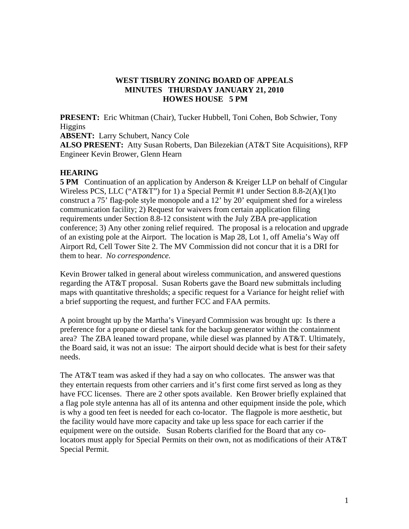## **WEST TISBURY ZONING BOARD OF APPEALS MINUTES THURSDAY JANUARY 21, 2010 HOWES HOUSE 5 PM**

**PRESENT:** Eric Whitman (Chair), Tucker Hubbell, Toni Cohen, Bob Schwier, Tony Higgins

**ABSENT:** Larry Schubert, Nancy Cole

**ALSO PRESENT:** Atty Susan Roberts, Dan Bilezekian (AT&T Site Acquisitions), RFP Engineer Kevin Brower, Glenn Hearn

## **HEARING**

**5 PM** Continuation of an application by Anderson & Kreiger LLP on behalf of Cingular Wireless PCS, LLC ("AT&T") for 1) a Special Permit #1 under Section 8.8-2(A)(1)to construct a 75' flag-pole style monopole and a 12' by 20' equipment shed for a wireless communication facility; 2) Request for waivers from certain application filing requirements under Section 8.8-12 consistent with the July ZBA pre-application conference; 3) Any other zoning relief required. The proposal is a relocation and upgrade of an existing pole at the Airport. The location is Map 28, Lot 1, off Amelia's Way off Airport Rd, Cell Tower Site 2. The MV Commission did not concur that it is a DRI for them to hear. *No correspondence.* 

Kevin Brower talked in general about wireless communication, and answered questions regarding the AT&T proposal. Susan Roberts gave the Board new submittals including maps with quantitative thresholds; a specific request for a Variance for height relief with a brief supporting the request, and further FCC and FAA permits.

A point brought up by the Martha's Vineyard Commission was brought up: Is there a preference for a propane or diesel tank for the backup generator within the containment area? The ZBA leaned toward propane, while diesel was planned by AT&T. Ultimately, the Board said, it was not an issue: The airport should decide what is best for their safety needs.

The AT&T team was asked if they had a say on who collocates. The answer was that they entertain requests from other carriers and it's first come first served as long as they have FCC licenses. There are 2 other spots available. Ken Brower briefly explained that a flag pole style antenna has all of its antenna and other equipment inside the pole, which is why a good ten feet is needed for each co-locator. The flagpole is more aesthetic, but the facility would have more capacity and take up less space for each carrier if the equipment were on the outside. Susan Roberts clarified for the Board that any colocators must apply for Special Permits on their own, not as modifications of their AT&T Special Permit.